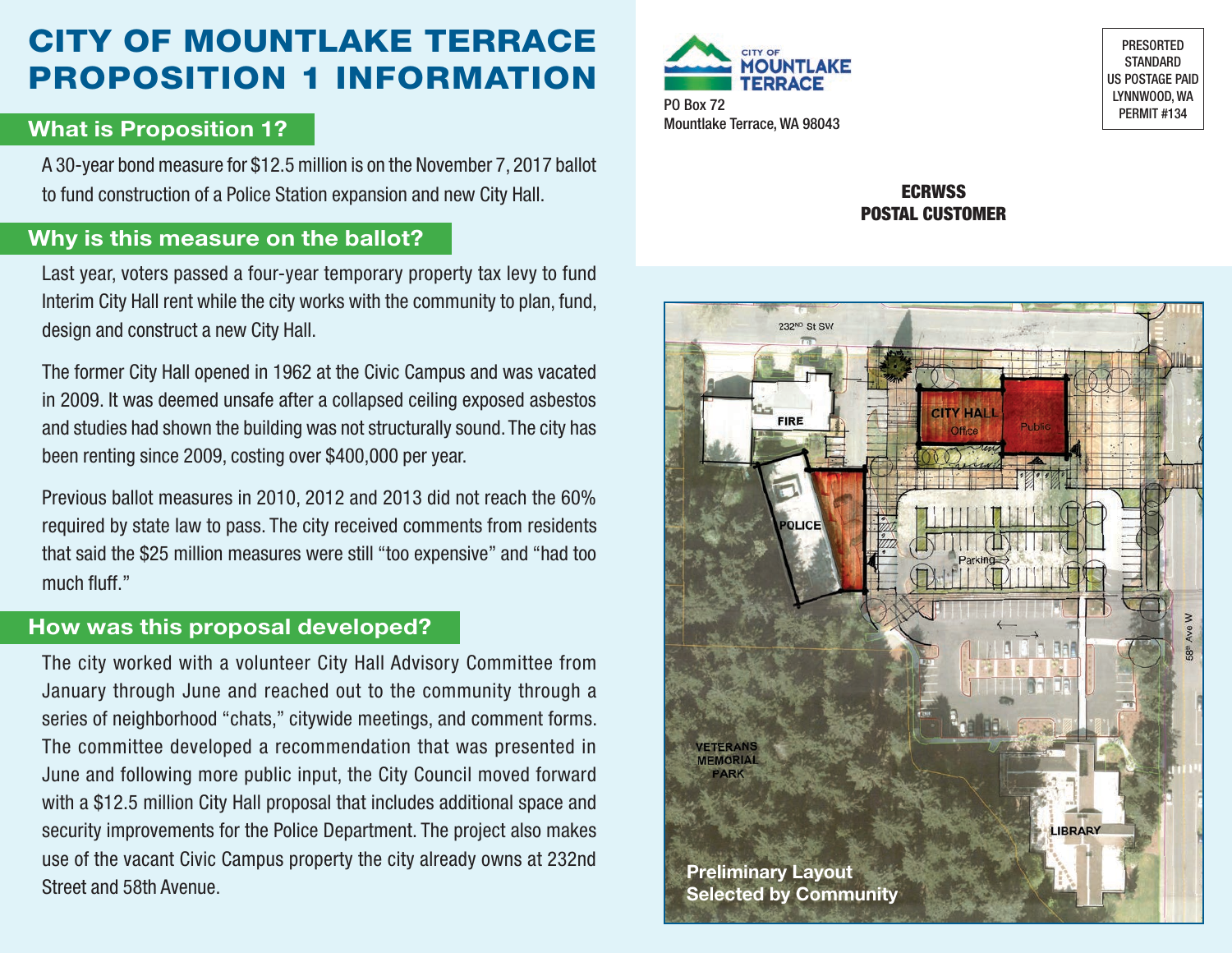# CITY OF MOUNTLAKE TERRACE PROPOSITION 1 INFORMATION

### **What is Proposition 1?** Mountlake Terrace, WA 98043

A 30-year bond measure for \$12.5 million is on the November 7, 2017 ballot to fund construction of a Police Station expansion and new City Hall.

## **Why is this measure on the ballot?**

Last year, voters passed a four-year temporary property tax levy to fund Interim City Hall rent while the city works with the community to plan, fund, design and construct a new City Hall.

The former City Hall opened in 1962 at the Civic Campus and was vacated in 2009. It was deemed unsafe after a collapsed ceiling exposed asbestos and studies had shown the building was not structurally sound. The city has been renting since 2009, costing over \$400,000 per year.

Previous ballot measures in 2010, 2012 and 2013 did not reach the 60% required by state law to pass. The city received comments from residents that said the \$25 million measures were still "too expensive" and "had too much fluff."

### **How was this proposal developed?**

The city worked with a volunteer City Hall Advisory Committee from January through June and reached out to the community through a series of neighborhood "chats," citywide meetings, and comment forms. The committee developed a recommendation that was presented in June and following more public input, the City Council moved forward with a \$12.5 million City Hall proposal that includes additional space and security improvements for the Police Department. The project also makes use of the vacant Civic Campus property the city already owns at 232nd Street and 58th Avenue.



PO Box 72<br>PERMIT #134

PRESORTED STANDARD US POSTAGE PAID LYNNWOOD, WA

#### **ECRWSS** POSTAL CUSTOMER